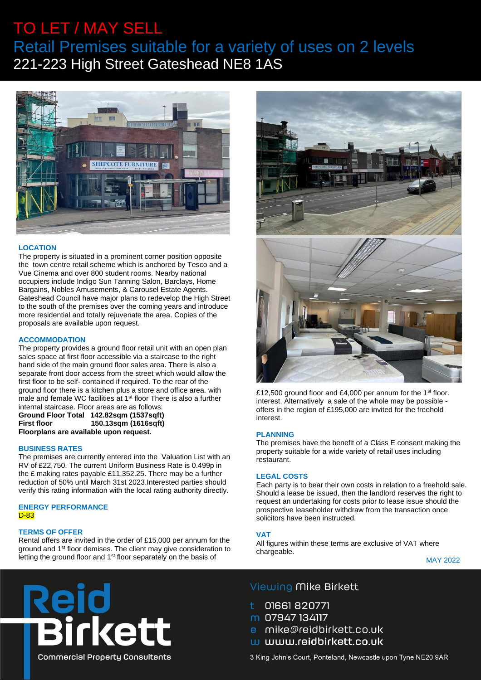# TO LET / MAY SELL Retail Premises suitable for a variety of uses on 2 levels 221-223 High Street Gateshead NE8 1AS



# **LOCATION**

The property is situated in a prominent corner position opposite the town centre retail scheme which is anchored by Tesco and a Vue Cinema and over 800 student rooms. Nearby national occupiers include Indigo Sun Tanning Salon, Barclays, Home Bargains, Nobles Amusements, & Carousel Estate Agents. Gateshead Council have major plans to redevelop the High Street to the south of the premises over the coming years and introduce more residential and totally rejuvenate the area. Copies of the proposals are available upon request.

### **ACCOMMODATION**

The property provides a ground floor retail unit with an open plan sales space at first floor accessible via a staircase to the right hand side of the main ground floor sales area. There is also a separate front door access from the street which would allow the first floor to be self- contained if required. To the rear of the ground floor there is a kitchen plus a store and office area. with male and female WC facilities at 1<sup>st</sup> floor There is also a further internal staircase. Floor areas are as follows:

# **Ground Floor Total 142.82sqm (1537sqft) First floor 150.13sqm (1616sqft) Floorplans are available upon request.**

## **BUSINESS RATES**

The premises are currently entered into the Valuation List with an RV of £22,750. The current Uniform Business Rate is 0.499p in the £ making rates payable £11,352.25. There may be a further reduction of 50% until March 31st 2023.Interested parties should verify this rating information with the local rating authority directly.

# **ENERGY PERFORMANCE**  D-83

# **TERMS OF OFFER**

Rental offers are invited in the order of £15,000 per annum for the ground and 1<sup>st</sup> floor demises. The client may give consideration to letting the ground floor and 1<sup>st</sup> floor separately on the basis of



£12,500 ground floor and £4,000 per annum for the 1<sup>st</sup> floor. interest. Alternatively a sale of the whole may be possible offers in the region of £195,000 are invited for the freehold interest.

#### **PLANNING**

The premises have the benefit of a Class E consent making the property suitable for a wide variety of retail uses including restaurant.

### **LEGAL COSTS**

Each party is to bear their own costs in relation to a freehold sale. Should a lease be issued, then the landlord reserves the right to request an undertaking for costs prior to lease issue should the prospective leaseholder withdraw from the transaction once solicitors have been instructed.

## **VAT**

All figures within these terms are exclusive of VAT where chargeable.

MAY 2022



# Viewing Mike Birkett

- 01661820771
- m 07947 134117
- e mike@reidbirkett.co.uk
- w www.reidbirkett.co.uk

3 King John's Court, Ponteland, Newcastle upon Tyne NE20 9AR